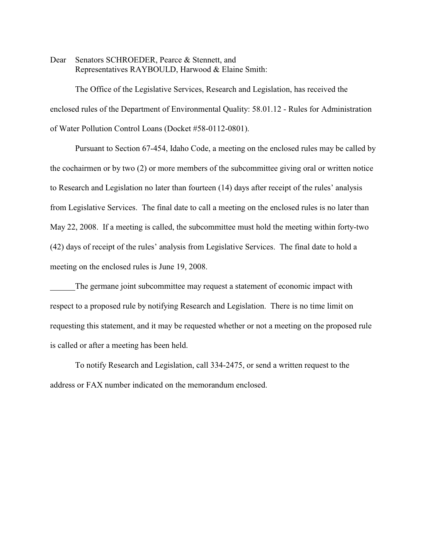Dear Senators SCHROEDER, Pearce & Stennett, and Representatives RAYBOULD, Harwood & Elaine Smith:

The Office of the Legislative Services, Research and Legislation, has received the enclosed rules of the Department of Environmental Quality: 58.01.12 - Rules for Administration of Water Pollution Control Loans (Docket #58-0112-0801).

Pursuant to Section 67-454, Idaho Code, a meeting on the enclosed rules may be called by the cochairmen or by two (2) or more members of the subcommittee giving oral or written notice to Research and Legislation no later than fourteen (14) days after receipt of the rules' analysis from Legislative Services. The final date to call a meeting on the enclosed rules is no later than May 22, 2008. If a meeting is called, the subcommittee must hold the meeting within forty-two (42) days of receipt of the rules' analysis from Legislative Services. The final date to hold a meeting on the enclosed rules is June 19, 2008.

The germane joint subcommittee may request a statement of economic impact with respect to a proposed rule by notifying Research and Legislation. There is no time limit on requesting this statement, and it may be requested whether or not a meeting on the proposed rule is called or after a meeting has been held.

To notify Research and Legislation, call 334-2475, or send a written request to the address or FAX number indicated on the memorandum enclosed.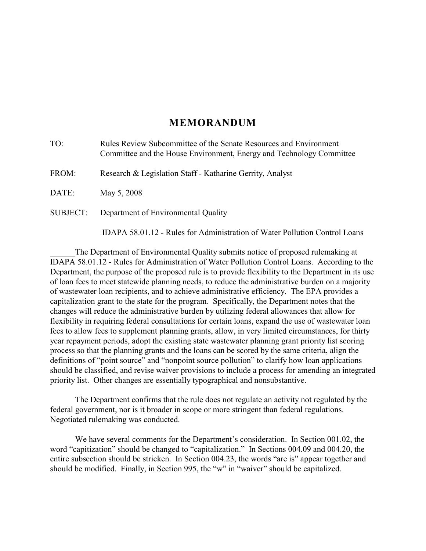# **MEMORANDUM**

| TO:             | Rules Review Subcommittee of the Senate Resources and Environment<br>Committee and the House Environment, Energy and Technology Committee |
|-----------------|-------------------------------------------------------------------------------------------------------------------------------------------|
| FROM:           | Research & Legislation Staff - Katharine Gerrity, Analyst                                                                                 |
| DATE:           | May 5, 2008                                                                                                                               |
| <b>SUBJECT:</b> | Department of Environmental Quality                                                                                                       |
|                 |                                                                                                                                           |

 IDAPA 58.01.12 - Rules for Administration of Water Pollution Control Loans The Department of Environmental Quality submits notice of proposed rulemaking at IDAPA 58.01.12 - Rules for Administration of Water Pollution Control Loans. According to the Department, the purpose of the proposed rule is to provide flexibility to the Department in its use of loan fees to meet statewide planning needs, to reduce the administrative burden on a majority of wastewater loan recipients, and to achieve administrative efficiency. The EPA provides a capitalization grant to the state for the program. Specifically, the Department notes that the changes will reduce the administrative burden by utilizing federal allowances that allow for flexibility in requiring federal consultations for certain loans, expand the use of wastewater loan fees to allow fees to supplement planning grants, allow, in very limited circumstances, for thirty year repayment periods, adopt the existing state wastewater planning grant priority list scoring process so that the planning grants and the loans can be scored by the same criteria, align the definitions of "point source" and "nonpoint source pollution" to clarify how loan applications

The Department confirms that the rule does not regulate an activity not regulated by the federal government, nor is it broader in scope or more stringent than federal regulations. Negotiated rulemaking was conducted.

priority list. Other changes are essentially typographical and nonsubstantive.

should be classified, and revise waiver provisions to include a process for amending an integrated

We have several comments for the Department's consideration. In Section 001.02, the word "capitization" should be changed to "capitalization." In Sections 004.09 and 004.20, the entire subsection should be stricken. In Section 004.23, the words "are is" appear together and should be modified. Finally, in Section 995, the "w" in "waiver" should be capitalized.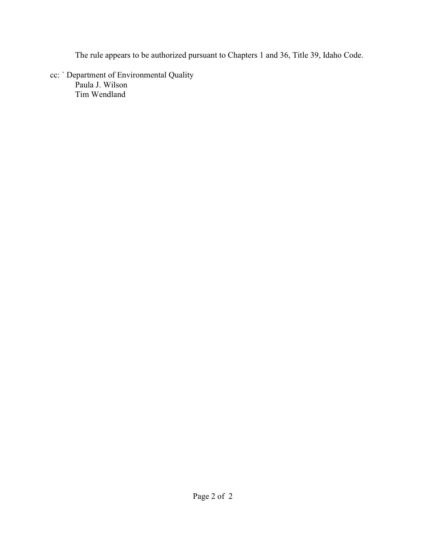The rule appears to be authorized pursuant to Chapters 1 and 36, Title 39, Idaho Code.

cc: ` Department of Environmental Quality Paula J. Wilson Tim Wendland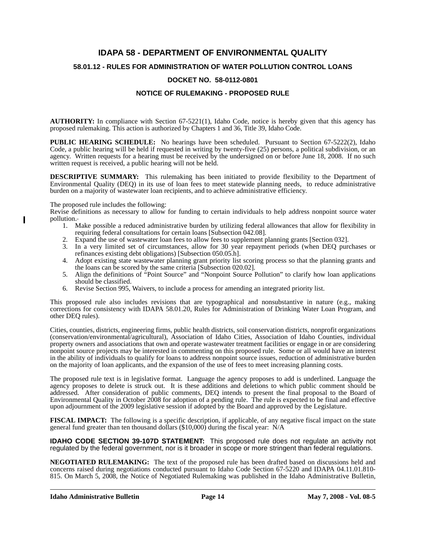# **IDAPA 58 - DEPARTMENT OF ENVIRONMENTAL QUALITY**

# **58.01.12 - RULES FOR ADMINISTRATION OF WATER POLLUTION CONTROL LOANS**

# **DOCKET NO. 58-0112-0801**

# **NOTICE OF RULEMAKING - PROPOSED RULE**

**AUTHORITY:** In compliance with Section 67-5221(1), Idaho Code, notice is hereby given that this agency has proposed rulemaking. This action is authorized by Chapters 1 and 36, Title 39, Idaho Code.

**PUBLIC HEARING SCHEDULE:** No hearings have been scheduled. Pursuant to Section 67-5222(2), Idaho Code, a public hearing will be held if requested in writing by twenty-five (25) persons, a political subdivision, or an agency. Written requests for a hearing must be received by the undersigned on or before June 18, 2008. If no such written request is received, a public hearing will not be held.

**DESCRIPTIVE SUMMARY:** This rulemaking has been initiated to provide flexibility to the Department of Environmental Quality (DEQ) in its use of loan fees to meet statewide planning needs, to reduce administrative burden on a majority of wastewater loan recipients, and to achieve administrative efficiency.

The proposed rule includes the following:

 $\overline{\phantom{a}}$ 

Revise definitions as necessary to allow for funding to certain individuals to help address nonpoint source water pollution.

- 1. Make possible a reduced administrative burden by utilizing federal allowances that allow for flexibility in requiring federal consultations for certain loans [Subsection 042.08].
- 2. Expand the use of wastewater loan fees to allow fees to supplement planning grants [Section 032].
- 3. In a very limited set of circumstances, allow for 30 year repayment periods (when DEQ purchases or refinances existing debt obligations) [Subsection 050.05.h].
- 4. Adopt existing state wastewater planning grant priority list scoring process so that the planning grants and the loans can be scored by the same criteria [Subsection 020.02].
- 5. Align the definitions of "Point Source" and "Nonpoint Source Pollution" to clarify how loan applications should be classified.
- 6. Revise Section 995, Waivers, to include a process for amending an integrated priority list.

This proposed rule also includes revisions that are typographical and nonsubstantive in nature (e.g., making corrections for consistency with IDAPA 58.01.20, Rules for Administration of Drinking Water Loan Program, and other DEQ rules).

Cities, counties, districts, engineering firms, public health districts, soil conservation districts, nonprofit organizations (conservation/environmental/agricultural), Association of Idaho Cities, Association of Idaho Counties, individual property owners and associations that own and operate wastewater treatment facilities or engage in or are considering nonpoint source projects may be interested in commenting on this proposed rule. Some or all would have an interest in the ability of individuals to qualify for loans to address nonpoint source issues, reduction of administrative burden on the majority of loan applicants, and the expansion of the use of fees to meet increasing planning costs.

The proposed rule text is in legislative format. Language the agency proposes to add is underlined. Language the agency proposes to delete is struck out. It is these additions and deletions to which public comment should be addressed. After consideration of public comments, DEQ intends to present the final proposal to the Board of Environmental Quality in October 2008 for adoption of a pending rule. The rule is expected to be final and effective upon adjournment of the 2009 legislative session if adopted by the Board and approved by the Legislature.

**FISCAL IMPACT:** The following is a specific description, if applicable, of any negative fiscal impact on the state general fund greater than ten thousand dollars (\$10,000) during the fiscal year: N/A

**IDAHO CODE SECTION 39-107D STATEMENT:** This proposed rule does not regulate an activity not regulated by the federal government, nor is it broader in scope or more stringent than federal regulations.

**NEGOTIATED RULEMAKING:** The text of the proposed rule has been drafted based on discussions held and concerns raised during negotiations conducted pursuant to Idaho Code Section 67-5220 and IDAPA 04.11.01.810- 815. On March 5, 2008, the Notice of Negotiated Rulemaking was published in the Idaho Administrative Bulletin,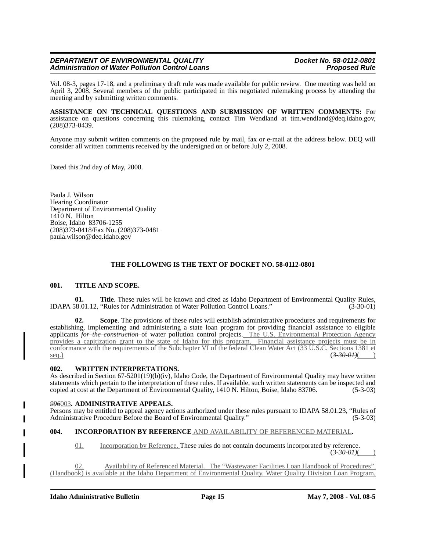Vol. 08-3, pages 17-18, and a preliminary draft rule was made available for public review. One meeting was held on April 3, 2008. Several members of the public participated in this negotiated rulemaking process by attending the meeting and by submitting written comments.

**ASSISTANCE ON TECHNICAL QUESTIONS AND SUBMISSION OF WRITTEN COMMENTS:** For assistance on questions concerning this rulemaking, contact Tim Wendland at tim.wendland@deq.idaho.gov, (208)373-0439.

Anyone may submit written comments on the proposed rule by mail, fax or e-mail at the address below. DEQ will consider all written comments received by the undersigned on or before July 2, 2008.

Dated this 2nd day of May, 2008.

Paula J. Wilson Hearing Coordinator Department of Environmental Quality  $14\overline{1}0$  N. Hilton Boise, Idaho 83706-1255 (208)373-0418/Fax No. (208)373-0481 paula.wilson@deq.idaho.gov

#### **THE FOLLOWING IS THE TEXT OF DOCKET NO. 58-0112-0801**

#### **001. TITLE AND SCOPE.**

**01. Title**. These rules will be known and cited as Idaho Department of Environmental Quality Rules, IDAPA 58.01.12, "Rules for Administration of Water Pollution Control Loans." (3-30-01)

**02. Scope**. The provisions of these rules will establish administrative procedures and requirements for establishing, implementing and administering a state loan program for providing financial assistance to eligible applicants *for the construction* of water pollution control projects. The U.S. Environmental Protection Agency provides a capitization grant to the state of Idaho for this program. Financial assistance projects must be in conformance with the requirements of the Subchapter VI of the federal Clean Water Act (33 U.S.C. Sections 1381 et seq.) seq.) (*3-30-01)*( )

#### **002. WRITTEN INTERPRETATIONS.**

As described in Section 67-5201(19)(b)(iv), Idaho Code, the Department of Environmental Quality may have written statements which pertain to the interpretation of these rules. If available, such written statements can be inspected and copied at cost at the Department of Environmental Quality, 1410 N. Hilton, Boise, Idaho 83706. (5-3copied at cost at the Department of Environmental Quality, 1410 N. Hilton, Boise, Idaho 83706.

#### *996*003**. ADMINISTRATIVE APPEALS.**

Persons may be entitled to appeal agency actions authorized under these rules pursuant to IDAPA 58.01.23, "Rules of Administrative Procedure Before the Board of Environmental Quality." (5-3-03)

#### **004. INCORPORATION BY REFERENCE** AND AVAILABILITY OF REFERENCED MATERIAL**.**

01. Incorporation by Reference. These rules do not contain documents incorporated by reference.

 $(3 - 30 - 01)$ 

02. Availability of Referenced Material. The "Wastewater Facilities Loan Handbook of Procedures" (Handbook) is available at the Idaho Department of Environmental Quality, Water Quality Division Loan Program,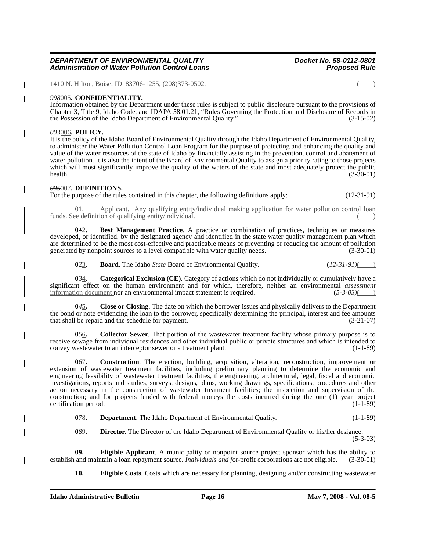1410 N. Hilton, Boise, ID 83706-1255, (208)373-0502.

#### *998*005**. CONFIDENTIALITY.**

Information obtained by the Department under these rules is subject to public disclosure pursuant to the provisions of Chapter 3, Title 9, Idaho Code, and IDAPA 58.01.21, "Rules Governing the Protection and Disclosure of Records in the Possession of the Idaho Department of Environmental Quality." (3-15-02)

#### *003*006**. POLICY.**

 $\overline{\phantom{a}}$ 

It is the policy of the Idaho Board of Environmental Quality through the Idaho Department of Environmental Quality, to administer the Water Pollution Control Loan Program for the purpose of protecting and enhancing the quality and value of the water resources of the state of Idaho by financially assisting in the prevention, control and abatement of water pollution. It is also the intent of the Board of Environmental Quality to assign a priority rating to those projects which will most significantly improve the quality of the waters of the state and most adequately protect the public health.  $(3-30-01)$ 

#### *005*007**. DEFINITIONS.**

For the purpose of the rules contained in this chapter, the following definitions apply: (12-31-91)

Applicant. Any qualifying entity/individual making application for water pollution control loan funds. See definition of qualifying entity/individual.

**0***1*2**. Best Management Practice**. A practice or combination of practices, techniques or measures developed, or identified, by the designated agency and identified in the state water quality management plan which are determined to be the most cost-effective and practicable means of preventing or reducing the amount of pollution generated by nonpoint sources to a level compatible with water quality needs. (3-30-01)

**0***2*3**. Board**. The Idaho-*State* Board of Environmental Quality. (*12-31-91)*(

**0***3*4**. Categorical Exclusion (CE)**. Category of actions which do not individually or cumulatively have a significant effect on the human environment and for which, therefore, neither an environmental *assessment* information document nor an environmental impact statement is required.  $\frac{(5-3-0.3)()}{2}$ information document nor an environmental impact statement is required.

**0***4*5**. Close or Closing**. The date on which the borrower issues and physically delivers to the Department the bond or note evidencing the loan to the borrower, specifically determining the principal, interest and fee amounts that shall be repaid and the schedule for payment. (3-21-07) that shall be repaid and the schedule for payment.

**0***5*6**. Collector Sewer**. That portion of the wastewater treatment facility whose primary purpose is to receive sewage from individual residences and other individual public or private structures and which is intended to convey wastewater to an interceptor sewer or a treatment plant. (1-1-89)

**0***6*7**. Construction**. The erection, building, acquisition, alteration, reconstruction, improvement or extension of wastewater treatment facilities, including preliminary planning to determine the economic and engineering feasibility of wastewater treatment facilities, the engineering, architectural, legal, fiscal and economic investigations, reports and studies, surveys, designs, plans, working drawings, specifications, procedures and other action necessary in the construction of wastewater treatment facilities; the inspection and supervision of the construction; and for projects funded with federal moneys the costs incurred during the one (1) year project certification period. (1-1-89)

**0***7*8. **Department**. The Idaho Department of Environmental Quality. (1-1-89)

**0***8*9**. Director**. The Director of the Idaho Department of Environmental Quality or his/her designee.

(5-3-03)

**09. Eligible Applicant**. A municipality or nonpoint source project sponsor which has the ability to establish and maintain a loan repayment source. *Individuals and f*or-profit corporations are not eligible. (3-30-01)

**10. Eligible Costs**. Costs which are necessary for planning, designing and/or constructing wastewater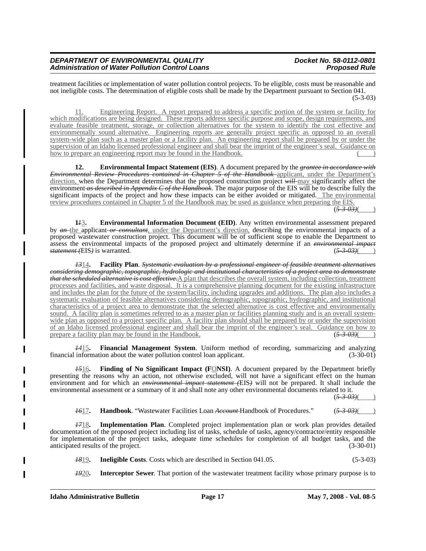treatment facilities or implementation of water pollution control projects. To be eligible, costs must be reasonable and not ineligible costs. The determination of eligible costs shall be made by the Department pursuant to Section 041.  $(5-3-03)$ 

11. Engineering Report. A report prepared to address a specific portion of the system or facility for which modifications are being designed. These reports address specific purpose and scope, design requirements, and evaluate feasible treatment, storage, or collection alternatives for the system to identify the cost effective and environmentally sound alternative. Engineering reports are generally project specific as opposed to an overall system-wide plan such as a master plan or a facility plan. An engineering report shall be prepared by or under the supervision of an Idaho licensed professional engineer and shall bear the imprint of the engineer's seal. Guidance on how to prepare an engineering report may be found in the Handbook.

**12. Environmental Impact Statement (EIS)**. A document prepared by the *grantee in accordance with Environmental Review Procedures contained in Chapter 5 of the Handbook* applicant, under the Department's direction, when the Department determines that the proposed construction project *will* may significantly affect the environment *as described in Appendix C of the Handbook*. The major purpose of the EIS will be to describe fully the significant impacts of the project and how these impacts can be either avoided or mitigated. The environmental review procedures contained in Chapter 5 of the Handbook may be used as guidance when preparing the EIS.  $\sqrt{(5-3-0.3)}$ 

**1***1*3**. Environmental Information Document (EID)**. Any written environmental assessment prepared by *an* the applicant *or consultant*, under the Department's direction, describing the environmental impacts of a proposed wastewater construction project. This document will be of sufficient scope to enable the Department to assess the environmental impacts of the proposed project and ultimately determine if an *environmental impact statement (*EIS*)* is warranted. (*5-3-03)*( )

*13*14**. Facility Plan**. *Systematic evaluation by a professional engineer of feasible treatment alternatives considering demographic, topographic, hydrologic and institutional characteristics of a project area to demonstrate that the scheduled alternative is cost effective.*A plan that describes the overall system, including collection, treatment processes and facilities, and waste disposal. It is a comprehensive planning document for the existing infrastructure and includes the plan for the future of the system/facility, including upgrades and additions. The plan also includes a systematic evaluation of feasible alternatives considering demographic, topographic, hydrographic, and institutional characteristics of a project area to demonstrate that the selected alternative is cost effective and environmentally sound. A facility plan is sometimes referred to as a master plan or facilities planning study and is an overall systemwide plan as opposed to a project specific plan. A facility plan should shall be prepared by or under the supervision of an Idaho licensed professional engineer and shall bear the imprint of the engineer's seal. Guidance on how to prepare a facility plan may be found in the Handbook.  $(5-3-0.3)$ prepare a facility plan may be found in the Handbook.

*14*15**. Financial Management System**. Uniform method of recording, summarizing and analyzing financial information about the water pollution control loan applicant.

*15*16**. Finding of No Significant Impact (F**O**NSI)**. A document prepared by the Department briefly presenting the reasons why an action, not otherwise excluded, will not have a significant effect on the human environment and for which an *environmental impact statement (*EIS*)* will not be prepared. It shall include the environmental assessment or a summary of it and shall note any other environmental documents related to it.

 $(5 - 3 - 03)$ 

*16*17**. Handbook**. "Wastewater Facilities Loan *Account* Handbook of Procedures." (*5-3-03)*( )

*17*18**. Implementation Plan**. Completed project implementation plan or work plan provides detailed documentation of the proposed project including list of tasks, schedule of tasks, agency/contractor/entity responsible for implementation of the project tasks, adequate time schedules for completion of all budget tasks, and the anticipated results of the project. (3-30-01)

*18*19**. Ineligible Costs**. Costs which are described in Section 041.05. (5-3-03)

*19*20**. Interceptor Sewer**. That portion of the wastewater treatment facility whose primary purpose is to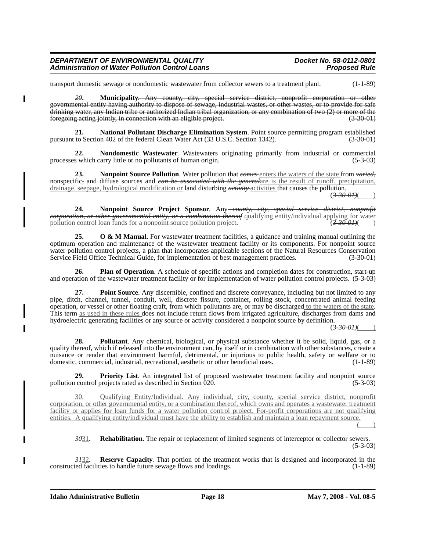transport domestic sewage or nondomestic wastewater from collector sewers to a treatment plant. (1-1-89)

*20***. Municipality**. Any county, city, special service district, nonprofit corporation or other governmental entity having authority to dispose of sewage, industrial wastes, or other wastes, or to provide for safe drinking water, any Indian tribe or authorized Indian tribal organization, or any combination of two  $(2)$  or more of the foregoing acting jointly, in connection with an eligible project. foregoing acting jointly, in connection with an eligible project.

**21. National Pollutant Discharge Elimination System**. Point source permitting program established pursuant to Section 402 of the federal Clean Water Act (33 U.S.C. Section 1342). (3-30-01)

**22. Nondomestic Wastewater**. Wastewaters originating primarily from industrial or commercial processes which carry little or no pollutants of human origin. (5-3-03)

**23. Nonpoint Source Pollution**. Water pollution that *comes* enters the waters of the state from *varied,* nonspecific*,* and diffuse sources and *can be associated with the general*are is the result of runoff, precipitation, drainage, seepage, hydrological modification or land disturbing *activity* activities that causes the pollution.

(*3-30-01)*( )

**24. Nonpoint Source Project Sponsor**. Any *county, city, special service district, nonprofit corporation, or other governmental entity, or a combination thereof* qualifying entity/individual applying for water pollution control loan funds for a nonpoint source pollution project.  $(3-30-01)$ 

**25.** O & M Manual. For wastewater treatment facilities, a guidance and training manual outlining the optimum operation and maintenance of the wastewater treatment facility or its components. For nonpoint source water pollution control projects, a plan that incorporates applicable sections of the Natural Resources Conservation<br>Service Field Office Technical Guide, for implementation of best management practices. (3-30-01) Service Field Office Technical Guide, for implementation of best management practices.

**26. Plan of Operation**. A schedule of specific actions and completion dates for construction, start-up and operation of the wastewater treatment facility or for implementation of water pollution control projects. (5-3-03)

**27. Point Source**. Any discernible, confined and discrete conveyance, including but not limited to any pipe, ditch, channel, tunnel, conduit, well, discrete fissure, container, rolling stock, concentrated animal feeding operation, or vessel or other floating craft, from which pollutants are, or may be discharged to the waters of the state. This term as used in these rules does not include return flows from irrigated agriculture, discharges from dams and hydroelectric generating facilities or any source or activity considered a nonpoint source by definition.

 $(3-30-01)$ 

**28. Pollutant**. Any chemical, biological, or physical substance whether it be solid, liquid, gas, or a quality thereof, which if released into the environment can, by itself or in combination with other substances, create a nuisance or render that environment harmful, detrimental, or injurious to public health, safety or welfare or to domestic, commercial, industrial, recreational, aesthetic or other beneficial uses. (1-1-89)

**29. Priority List**. An integrated list of proposed wastewater treatment facility and nonpoint source control projects rated as described in Section 020. (5-3-03) pollution control projects rated as described in Section  $\hat{0}20$ .

30. Qualifying Entity/Individual. Any individual, city, county, special service district, nonprofit corporation, or other governmental entity, or a combination thereof, which owns and operates a wastewater treatment facility or applies for loan funds for a water pollution control project. For-profit corporations are not qualifying entities. A qualifying entity/individual must have the ability to establish and maintain a loan repayment source.

 $($   $)$ 

*30*31**. Rehabilitation**. The repair or replacement of limited segments of interceptor or collector sewers. (5-3-03)

**3432. Reserve Capacity**. That portion of the treatment works that is designed and incorporated in the ted facilities to handle future sewage flows and loadings. (1-1-89) constructed facilities to handle future sewage flows and loadings.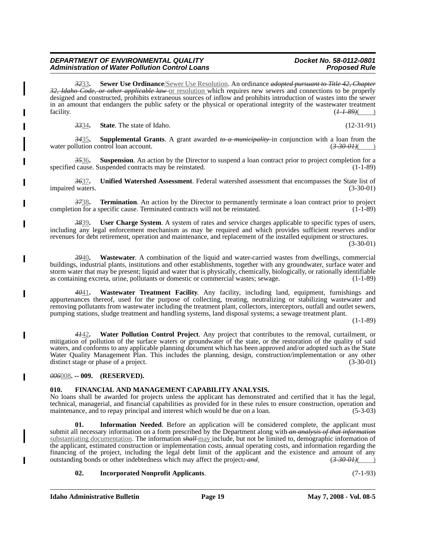# **Idaho Administrative Bulletin Page 19 May 7, 2008 - Vol. 08-5**

#### *DEPARTMENT OF ENVIRONMENTAL QUALITY Docket No. 58-0112-0801* **Administration of Water Pollution Control Loans**

*32*33**. Sewer Use Ordinance**/Sewer Use Resolution. An ordinance *adopted pursuant to Title 42, Chapter 32, Idaho Code, or other applicable law* or resolution which requires new sewers and connections to be properly designed and constructed, prohibits extraneous sources of inflow and prohibits introduction of wastes into the sewer in an amount that endangers the public safety or the physical or operational integrity of the wastewater treatment facility.  $\frac{(11-89)}{(1-11-89)}$ 

*33*34**. State**. The state of Idaho. (12-31-91)

*34*35**. Supplemental Grants**. A grant awarded *to a municipality* in conjunction with a loan from the water pollution control loan account. (3-30-01)

*35*36**. Suspension**. An action by the Director to suspend a loan contract prior to project completion for a specified cause. Suspended contracts may be reinstated.

*36*37**. Unified Watershed Assessment**. Federal watershed assessment that encompasses the State list of impaired waters. (3-30-01)

*37*38**. Termination**. An action by the Director to permanently terminate a loan contract prior to project completion for a specific cause. Terminated contracts will not be reinstated. (1-1-89)

*38*39**. User Charge System**. A system of rates and service charges applicable to specific types of users, including any legal enforcement mechanism as may be required and which provides sufficient reserves and/or revenues for debt retirement, operation and maintenance, and replacement of the installed equipment or structures.

(3-30-01)

*39*40**. Wastewater**. A combination of the liquid and water-carried wastes from dwellings, commercial buildings, industrial plants, institutions and other establishments, together with any groundwater, surface water and storm water that may be present; liquid and water that is physically, chemically, biologically, or rationally identifiable as containing excreta, urine, pollutants or domestic or commercial wastes; sewage. (1-1-89)

*40*41**. Wastewater Treatment Facility**. Any facility, including land, equipment, furnishings and appurtenances thereof, used for the purpose of collecting, treating, neutralizing or stabilizing wastewater and removing pollutants from wastewater including the treatment plant, collectors, interceptors, outfall and outlet sewers, pumping stations, sludge treatment and handling systems, land disposal systems; a sewage treatment plant.

 $(1-1-89)$ 

**Water Pollution Control Project**. Any project that contributes to the removal, curtailment, or mitigation of pollution of the surface waters or groundwater of the state, or the restoration of the quality of said waters, and conforms to any applicable planning document which has been approved and/or adopted such as the State Water Quality Management Plan. This includes the planning, design, construction/implementation or any other distinct stage or phase of a project. (3-30-01)

*006*008**. -- 009. (RESERVED).**

# **010. FINANCIAL AND MANAGEMENT CAPABILITY ANALYSIS.**

No loans shall be awarded for projects unless the applicant has demonstrated and certified that it has the legal, technical, managerial, and financial capabilities as provided for in these rules to ensure construction, operation and maintenance, and to repay principal and interest which would be due on a loan. (5-3-03)

**01. Information Needed**. Before an application will be considered complete, the applicant must submit all necessary information on a form prescribed by the Department along with *an analysis of that information* substantiating documentation. The information *shall* may include, but not be limited to, demographic information of the applicant, estimated construction or implementation costs, annual operating costs, and information regarding the financing of the project, including the legal debt limit of the applicant and the existence and amount of any outstanding bonds or other indebtedness which may affect the project; and  $\left(3-30-01\right)$ outstanding bonds or other indebtedness which may affect the project; and.

# **02. Incorporated Nonprofit Applicants**. (7-1-93)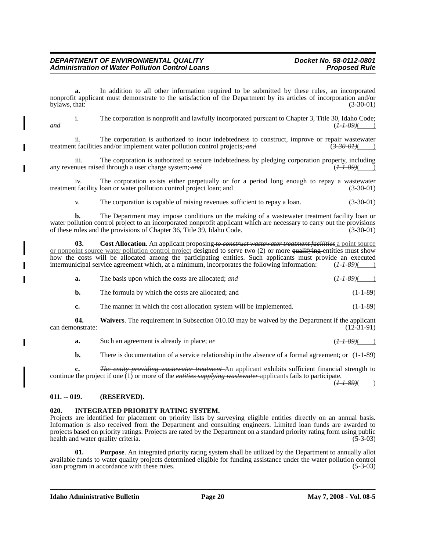**a.** In addition to all other information required to be submitted by these rules, an incorporated nonprofit applicant must demonstrate to the satisfaction of the Department by its articles of incorporation and/or bylaws, that: (3-30-01) by laws, that:  $(3-30-01)$ 

i. The corporation is nonprofit and lawfully incorporated pursuant to Chapter 3, Title 30, Idaho Code; *and* (*1-1-89)*( )

ii. The corporation is authorized to incur indebtedness to construct, improve or repair wastewater treatment facilities and/or implement water pollution control projects; and  $(3-30-01)$ 

iii. The corporation is authorized to secure indebtedness by pledging corporation property, including nues raised through a user charge system; and  $(H-1-89)$  ( $H-1-89$ ) any revenues raised through a user charge system; and

iv. The corporation exists either perpetually or for a period long enough to repay a wastewater treatment facility loan or water pollution control project loan; and (3-30-01)

v. The corporation is capable of raising revenues sufficient to repay a loan. (3-30-01)

**b.** The Department may impose conditions on the making of a wastewater treatment facility loan or water pollution control project to an incorporated nonprofit applicant which are necessary to carry out the provisions of these rules and the provisions of Chapter 36, Title 39, Idaho Code. (3-30-01) of these rules and the provisions of Chapter 36, Title 39, Idaho Code.

**03. Cost Allocation**. An applicant proposing *to construct wastewater treatment facilities* a point source or nonpoint source water pollution control project designed to serve two (2) or more qualifying entities must show how the costs will be allocated among the participating entities. Such applicants must provide an executed intermunicipal service agreement which, at a minimum, incorporates the following information:  $(H-1-89)($ 

| а. | The basis upon which the costs are allocated; and                   | $(\frac{1}{89})$ ( |
|----|---------------------------------------------------------------------|--------------------|
| b. | The formula by which the costs are allocated; and                   | $(1-1-89)$         |
| c. | The manner in which the cost allocation system will be implemented. | $(1-1-89)$         |

**04. Waivers**. The requirement in Subsection 010.03 may be waived by the Department if the applicant can demonstrate: (12-31-91)

| a. | Such an agreement is already in place; $\theta r$ | $(1 + 89)$ |
|----|---------------------------------------------------|------------|

**b.** There is documentation of a service relationship in the absence of a formal agreement; or  $(1-1-89)$ 

**c.** *The entity providing wastewater treatment* An applicant exhibits sufficient financial strength to continue the project if one (1) or more of the *entities supplying wastewater* applicants fails to participate.

(*1-1-89)*( )

# **011. -- 019. (RESERVED).**

# **020. INTEGRATED PRIORITY RATING SYSTEM.**

Projects are identified for placement on priority lists by surveying eligible entities directly on an annual basis. Information is also received from the Department and consulting engineers. Limited loan funds are awarded to projects based on priority ratings. Projects are rated by the Department on a standard priority rating form using public health and water quality criteria. (5-3-03)

**01. Purpose**. An integrated priority rating system shall be utilized by the Department to annually allot available funds to water quality projects determined eligible for funding assistance under the water pollution control loan program in accordance with these rules.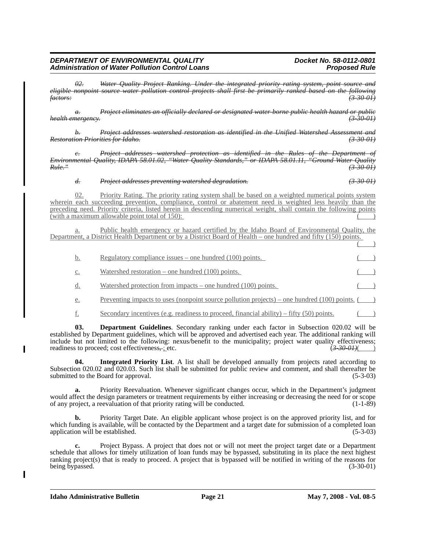*02. Water Quality Project Ranking. Under the integrated priority rating system, point source and eligible nonpoint source water pollution control projects shall first be primarily ranked based on the following factors: (3-30-01)*

*a. Project eliminates an officially declared or designated water-borne public health hazard or public health emergency. (3-30-01)*

*b. Project addresses watershed restoration as identified in the Unified Watershed Assessment and Restoration Priorities for Idaho. (3-30-01)*

*c. Project addresses watershed protection as identified in the Rules of the Department of Environmental Quality, IDAPA 58.01.02, "Water Quality Standards," or IDAPA 58.01.11, "Ground Water Quality Rule." (3-30-01)*

*d. Project addresses preventing watershed degradation. (3-30-01)*

02. Priority Rating. The priority rating system shall be based on a weighted numerical points system wherein each succeeding prevention, compliance, control or abatement need is weighted less heavily than the preceding need. Priority criteria, listed herein in descending numerical weight, shall contain the following points (with a maximum allowable point total of  $150$ ):

Public health emergency or hazard certified by the Idaho Board of Environmental Quality, the Department, a District Health Department or by a District Board of Health – one hundred and fifty (150) points.

| b.             | Regulatory compliance issues – one hundred $(100)$ points.                                      |  |
|----------------|-------------------------------------------------------------------------------------------------|--|
| $\mathbb{C}$ . | Watershed restoration – one hundred $(100)$ points.                                             |  |
| d.             | Watershed protection from impacts – one hundred $(100)$ points.                                 |  |
| e.             | Preventing impacts to uses (nonpoint source pollution projects) – one hundred (100) points. $($ |  |
|                |                                                                                                 |  |

 $f(x)$  Secondary incentives (e.g. readiness to proceed, financial ability) – fifty (50) points.

**03. Department Guidelines**. Secondary ranking under each factor in Subsection 020.02 will be established by Department guidelines, which will be approved and advertised each year. The additional ranking will include but not limited to the following: nexus/benefit to the municipality; project water quality effectiveness; readiness to proceed; cost effectiveness,  $\frac{1}{2}$  etc. (3-30-01)( )

**04. Integrated Priority List**. A list shall be developed annually from projects rated according to Subsection 020.02 and 020.03. Such list shall be submitted for public review and comment, and shall thereafter be submitted to the Board for approval. (5-3-03)

**a.** Priority Reevaluation. Whenever significant changes occur, which in the Department's judgment would affect the design parameters or treatment requirements by either increasing or decreasing the need for or scope of any project, a reevaluation of that priority rating will be conducted. (1-1-89)

**b.** Priority Target Date. An eligible applicant whose project is on the approved priority list, and for which funding is available, will be contacted by the Department and a target date for submission of a completed loan application will be established. (5-3-03) (5-3-03)

**c.** Project Bypass. A project that does not or will not meet the project target date or a Department schedule that allows for timely utilization of loan funds may be bypassed, substituting in its place the next highest ranking project(s) that is ready to proceed. A project that is bypassed will be notified in writing of the reasons for being bypassed. (3-30-01) being bypassed.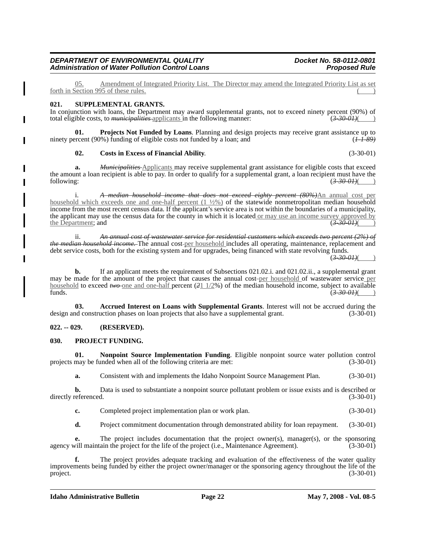Amendment of Integrated Priority List. The Director may amend the Integrated Priority List as set forth in Section 995 of these rules.

# **021. SUPPLEMENTAL GRANTS.**

In conjunction with loans, the Department may award supplemental grants, not to exceed ninety percent (90%) of total eligible costs, to *municipalities* applicants in the following manner: (*3-30-01)*( )

**01. Projects Not Funded by Loans**. Planning and design projects may receive grant assistance up to ninety percent (90%) funding of eligible costs not funded by a loan; and (*1-1-89)*

#### **02. Costs in Excess of Financial Ability**. (3-30-01)

**a.** *Municipalities* Applicants may receive supplemental grant assistance for eligible costs that exceed the amount a loan recipient is able to pay. In order to qualify for a supplemental grant, a loan recipient must have the following: (*3-30-01)*( )

i. *A median household income that does not exceed eighty percent (80%)*An annual cost per household which exceeds one and one-half percent  $(1 \frac{1}{2}\%)$  of the statewide nonmetropolitan median household income from the most recent census data. If the applicant's service area is not within the boundaries of a municipality, the applicant may use the census data for the county in which it is located <u>or may use an income survey approved by</u><br>the Department; and  $\frac{(3-30-0.1)}{(3-30-0.1)}$ the Department; and (*3-30-01)*( )

ii. *An annual cost of wastewater service for residential customers which exceeds two percent (2%) of the median household income*. The annual cost-per household includes all operating, maintenance, replacement and debt service costs, both for the existing system and for upgrades, being financed with state revolving funds.

 $(3-30,01)$ 

**b.** If an applicant meets the requirement of Subsections 021.02.i. and 021.02.ii., a supplemental grant may be made for the amount of the project that causes the annual cost-per household of wastewater service per household to exceed *two* one and one-half percent ( $\frac{21 \frac{1}{2}}{8}$ ) of the median household income, subject to available funds. funds. (*3-30-01)*( )

**03. Accrued Interest on Loans with Supplemental Grants**. Interest will not be accrued during the design and construction phases on loan projects that also have a supplemental grant. (3-30-01)

# **022. -- 029. (RESERVED).**

#### **030. PROJECT FUNDING.**

**01. Nonpoint Source Implementation Funding**. Eligible nonpoint source water pollution control projects may be funded when all of the following criteria are met: (3-30-01)

**a.** Consistent with and implements the Idaho Nonpoint Source Management Plan. (3-30-01)

**b.** Data is used to substantiate a nonpoint source pollutant problem or issue exists and is described or referenced.  $(3-30-01)$ directly referenced.

**c.** Completed project implementation plan or work plan. (3-30-01)

**d.** Project commitment documentation through demonstrated ability for loan repayment. (3-30-01)

**e.** The project includes documentation that the project owner(s), manager(s), or the sponsoring vill maintain the project for the life of the project (i.e., Maintenance Agreement). (3-30-01) agency will maintain the project for the life of the project (i.e., Maintenance Agreement).

**f.** The project provides adequate tracking and evaluation of the effectiveness of the water quality improvements being funded by either the project owner/manager or the sponsoring agency throughout the life of the project. (3-30-01)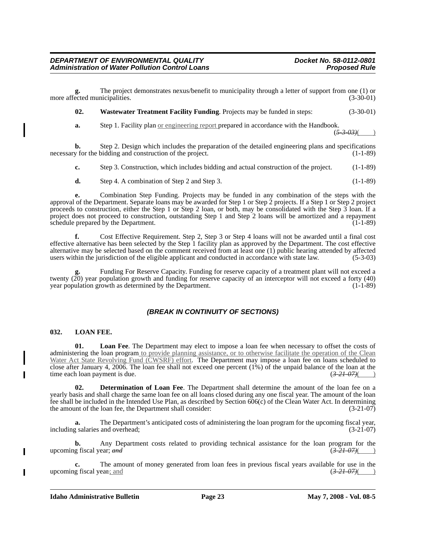**g.** The project demonstrates nexus/benefit to municipality through a letter of support from one (1) or more affected municipalities. (3-30-01)

**02. Wastewater Treatment Facility Funding**. Projects may be funded in steps: (3-30-01)

**a.** Step 1. Facility plan <u>or engineering report</u> prepared in accordance with the Handbook.

 $(5-3-03)$ 

**b.** Step 2. Design which includes the preparation of the detailed engineering plans and specifications y for the bidding and construction of the project. (1-1-89) necessary for the bidding and construction of the project.

**c.** Step 3. Construction, which includes bidding and actual construction of the project. (1-1-89)

**d.** Step 4. A combination of Step 2 and Step 3. (1-1-89)

**e.** Combination Step Funding. Projects may be funded in any combination of the steps with the approval of the Department. Separate loans may be awarded for Step 1 or Step 2 projects. If a Step 1 or Step 2 project proceeds to construction, either the Step 1 or Step 2 loan, or both, may be consolidated with the Step 3 loan. If a project does not proceed to construction, outstanding Step 1 and Step 2 loans will be amortized and a repayment schedule prepared by the Department. (1-1-89)

**f.** Cost Effective Requirement. Step 2, Step 3 or Step 4 loans will not be awarded until a final cost effective alternative has been selected by the Step 1 facility plan as approved by the Department. The cost effective alternative may be selected based on the comment received from at least one (1) public hearing attended by affected users within the jurisdiction of the eligible applicant and conducted in accordance with state law. (5-3-03)

**g.** Funding For Reserve Capacity. Funding for reserve capacity of a treatment plant will not exceed a twenty  $(20)$  year population growth and funding for reserve capacity of an interceptor will not exceed a forty  $(40)$ year population growth as determined by the Department. (1-1-89)

# *(BREAK IN CONTINUITY OF SECTIONS)*

# **032. LOAN FEE.**

**01. Loan Fee**. The Department may elect to impose a loan fee when necessary to offset the costs of administering the loan program to provide planning assistance, or to otherwise facilitate the operation of the Clean Water Act State Revolving Fund (CWSRF) effort. The Department may impose a loan fee on loans scheduled to close after January 4, 2006. The loan fee shall not exceed one percent (1%) of the unpaid balance of the loan at the time each loan payment is due.  $\left(3-21-07\right)\left(4-0.0000\right)$ time each loan payment is due.

**02. Determination of Loan Fee**. The Department shall determine the amount of the loan fee on a yearly basis and shall charge the same loan fee on all loans closed during any one fiscal year. The amount of the loan fee shall be included in the Intended Use Plan, as described by Section 606(c) of the Clean Water Act. In determining the amount of the loan fee, the Department shall consider: (3-21-07)

**a.** The Department's anticipated costs of administering the loan program for the upcoming fiscal year, including salaries and overhead; (3-21-07)

**b.** Any Department costs related to providing technical assistance for the loan program for the upcoming fiscal year; *and* (3-21-07)( )

**c.** The amount of money generated from loan fees in previous fiscal years available for use in the upcoming fiscal year*.*; and (*3-21-07)*( )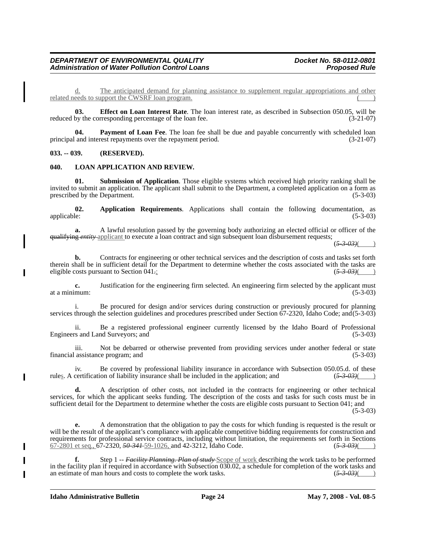d. The anticipated demand for planning assistance to supplement regular appropriations and other related needs to support the CWSRF loan program.

**03. Effect on Loan Interest Rate**. The loan interest rate, as described in Subsection 050.05, will be reduced by the corresponding percentage of the loan fee. (3-21-07)

**04.** Payment of Loan Fee. The loan fee shall be due and payable concurrently with scheduled loan principal and interest repayments over the repayment period. (3-21-07)

# **033. -- 039. (RESERVED).**

#### **040. LOAN APPLICATION AND REVIEW.**

**01. Submission of Application**. Those eligible systems which received high priority ranking shall be invited to submit an application. The applicant shall submit to the Department, a completed application on a form as prescribed by the Department. (5-3-03) prescribed by the Department.

**02.** Application Requirements. Applications shall contain the following documentation, as applicable: (5-3-03) applicable: (5-3-03) (5-3-03)

**a.** A lawful resolution passed by the governing body authorizing an elected official or officer of the qualifying *entity* applicant to execute a loan contract and sign subsequent loan disbursement requests;

 $(\frac{5-3-03}{8})$ 

**b.** Contracts for engineering or other technical services and the description of costs and tasks set forth therein shall be in sufficient detail for the Department to determine whether the costs associated with the tasks are eligible costs pursuant to Section 041. eligible costs pursuant to Section 041*.*; (*5-3-03)*( )

**c.** Justification for the engineering firm selected. An engineering firm selected by the applicant must mum: (5-3-03) at a minimum:

i. Be procured for design and/or services during construction or previously procured for planning services through the selection guidelines and procedures prescribed under Section 67-2320, Idaho Code; and(5-3-03)

ii. Be a registered professional engineer currently licensed by the Idaho Board of Professional Engineers and Land Surveyors; and (5-3-03) (5-3-03)

iii. Not be debarred or otherwise prevented from providing services under another federal or state assistance program; and (5-3-03) financial assistance program; and

iv. Be covered by professional liability insurance in accordance with Subsection 050.05.d. of these rules. A certification of liability insurance shall be included in the application; and (*5-3-03)*( )

**d.** A description of other costs, not included in the contracts for engineering or other technical services, for which the applicant seeks funding. The description of the costs and tasks for such costs must be in sufficient detail for the Department to determine whether the costs are eligible costs pursuant to Section 041; and

 $(5-3-03)$ 

**e.** A demonstration that the obligation to pay the costs for which funding is requested is the result or will be the result of the applicant's compliance with applicable competitive bidding requirements for construction and requirements for professional service contracts, including without limitation, the requirements set forth in Sections  $(5-3.03)(5-2.80)$   $(5-3.03)(5-3.03)$ 67-2801 et seq., 67-2320, *50-341* 59-1026, and 42-3212, Idaho Code. (*5-3-03)*( )

**f.** Step 1 -- *Facility Planning. Plan of study* Scope of work describing the work tasks to be performed in the facility plan if required in accordance with Subsection 030.02, a schedule for completion of the work tasks and an estimate of man hours and costs to complete the work tasks.  $(5-3-0.3)$ 

**Idaho Administrative Bulletin Page 24 May 7, 2008 - Vol. 08-5**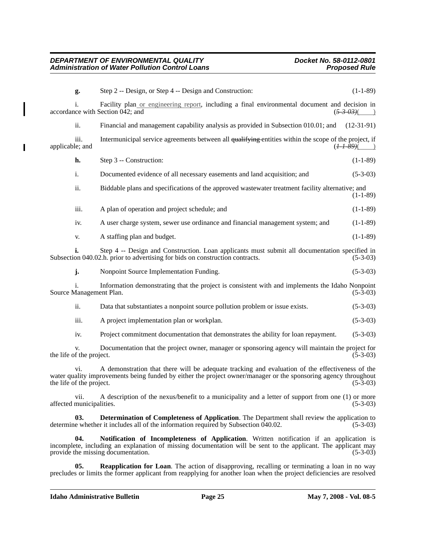$\mathbf I$ 

| g.                                                                                                                                                                                                                                                                  | Step 2 -- Design, or Step 4 -- Design and Construction:                                                                                                                                                                                          | $(1-1-89)$             |
|---------------------------------------------------------------------------------------------------------------------------------------------------------------------------------------------------------------------------------------------------------------------|--------------------------------------------------------------------------------------------------------------------------------------------------------------------------------------------------------------------------------------------------|------------------------|
|                                                                                                                                                                                                                                                                     | Facility plan or engineering report, including a final environmental document and decision in<br>accordance with Section 042; and                                                                                                                | $(5-3-03)$             |
| ii.                                                                                                                                                                                                                                                                 | Financial and management capability analysis as provided in Subsection 010.01; and                                                                                                                                                               | $(12-31-91)$           |
| iii.<br>applicable; and                                                                                                                                                                                                                                             | Intermunicipal service agreements between all qualifying entities within the scope of the project, if                                                                                                                                            | ( <del>I-I-89)</del> ( |
| h.                                                                                                                                                                                                                                                                  | Step 3 -- Construction:                                                                                                                                                                                                                          | $(1-1-89)$             |
| i.                                                                                                                                                                                                                                                                  | Documented evidence of all necessary easements and land acquisition; and                                                                                                                                                                         | $(5-3-03)$             |
| ii.                                                                                                                                                                                                                                                                 | Biddable plans and specifications of the approved wastewater treatment facility alternative; and                                                                                                                                                 | $(1-1-89)$             |
| iii.                                                                                                                                                                                                                                                                | A plan of operation and project schedule; and                                                                                                                                                                                                    | $(1-1-89)$             |
| iv.                                                                                                                                                                                                                                                                 | A user charge system, sewer use ordinance and financial management system; and                                                                                                                                                                   | $(1-1-89)$             |
| V.                                                                                                                                                                                                                                                                  | A staffing plan and budget.                                                                                                                                                                                                                      | $(1-1-89)$             |
|                                                                                                                                                                                                                                                                     | Step 4 -- Design and Construction. Loan applicants must submit all documentation specified in<br>Subsection 040.02.h. prior to advertising for bids on construction contracts.                                                                   | $(5-3-03)$             |
| j.                                                                                                                                                                                                                                                                  | Nonpoint Source Implementation Funding.                                                                                                                                                                                                          | $(5-3-03)$             |
| Source Management Plan.                                                                                                                                                                                                                                             | Information demonstrating that the project is consistent with and implements the Idaho Nonpoint                                                                                                                                                  | $(5-3-03)$             |
| ii.                                                                                                                                                                                                                                                                 | Data that substantiates a nonpoint source pollution problem or issue exists.                                                                                                                                                                     | $(5-3-03)$             |
| iii.                                                                                                                                                                                                                                                                | A project implementation plan or workplan.                                                                                                                                                                                                       | $(5-3-03)$             |
| iv.                                                                                                                                                                                                                                                                 | Project commitment documentation that demonstrates the ability for loan repayment.                                                                                                                                                               | $(5-3-03)$             |
| the life of the project.                                                                                                                                                                                                                                            | Documentation that the project owner, manager or sponsoring agency will maintain the project for                                                                                                                                                 | $(5-3-03)$             |
| A demonstration that there will be adequate tracking and evaluation of the effectiveness of the<br>vi.<br>water quality improvements being funded by either the project owner/manager or the sponsoring agency throughout<br>the life of the project.<br>$(5-3-03)$ |                                                                                                                                                                                                                                                  |                        |
| V11.<br>affected municipalities.                                                                                                                                                                                                                                    | A description of the nexus/benefit to a municipality and a letter of support from one (1) or more                                                                                                                                                | $(5-3-03)$             |
| <b>Determination of Completeness of Application.</b> The Department shall review the application to<br>03.<br>determine whether it includes all of the information required by Subsection 040.02.<br>$(5-3-03)$                                                     |                                                                                                                                                                                                                                                  |                        |
| 04.                                                                                                                                                                                                                                                                 | Notification of Incompleteness of Application. Written notification if an application is<br>incomplete, including an explanation of missing documentation will be sent to the applicant. The applicant may<br>provide the missing documentation. | $(5-3-03)$             |

**05. Reapplication for Loan**. The action of disapproving, recalling or terminating a loan in no way precludes or limits the former applicant from reapplying for another loan when the project deficiencies are resolved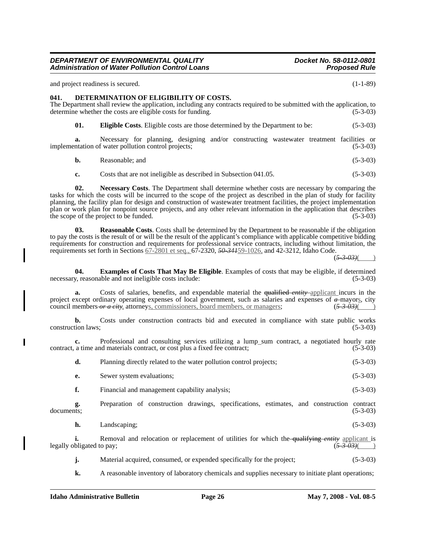and project readiness is secured. (1-1-89)

# **041. DETERMINATION OF ELIGIBILITY OF COSTS.**

The Department shall review the application, including any contracts required to be submitted with the application, to determine whether the costs are eligible costs for funding. (5-3-03)

**01. Eligible Costs**. Eligible costs are those determined by the Department to be: (5-3-03)

**a.** Necessary for planning, designing and/or constructing wastewater treatment facilities or implementation of water pollution control projects; (5-3-03)

**b.** Reasonable; and (5-3-03)

**c.** Costs that are not ineligible as described in Subsection 041.05. (5-3-03)

**02. Necessary Costs**. The Department shall determine whether costs are necessary by comparing the tasks for which the costs will be incurred to the scope of the project as described in the plan of study for facility planning, the facility plan for design and construction of wastewater treatment facilities, the project implementation plan or work plan for nonpoint source projects, and any other relevant information in the application that describes the scope of the project to be funded.  $(5-3-03)$ 

**03. Reasonable Costs**. Costs shall be determined by the Department to be reasonable if the obligation to pay the costs is the result of or will be the result of the applicant's compliance with applicable competitive bidding requirements for construction and requirements for professional service contracts, including without limitation, the requirements set forth in Sections 67-2801 et seq., 67-2320, *50-341*59-1026, and 42-3212, Idaho Code.

 $(5-3-03)$ 

**04. Examples of Costs That May Be Eligible**. Examples of costs that may be eligible, if determined necessary, reasonable and not ineligible costs include: (5-3-03)

**a.** Costs of salaries, benefits, and expendable material the qualified *entity* applicant incurs in the project except ordinary operating expenses of local government, such as salaries and expenses of *a* mayors, city council members *or a city*, attorneys, commissioners, board members, or managers; (*5-3-03)*( )

**b.** Costs under construction contracts bid and executed in compliance with state public works construction laws; (5-3-03)

**c.** Professional and consulting services utilizing a lump\_sum contract, a negotiated hourly rate contract, a time and materials contract, or cost plus a fixed fee contract; (5-3-03)

| d. | Planning directly related to the water pollution control projects; | $(5-3-03)$ |
|----|--------------------------------------------------------------------|------------|
|    | Sewer system evaluations;                                          | $(5-3-03)$ |
|    |                                                                    |            |

**f.** Financial and management capability analysis; (5-3-03)

**g.** Preparation of construction drawings, specifications, estimates, and construction contract documents; (5-3-03)

**h.** Landscaping; (5-3-03)

**i.** Removal and relocation or replacement of utilities for which the qualifying entity applicant is bligated to pay;  $\frac{(5-3.03)()}{(5-3.03)()}$ legally obligated to pay;

**j.** Material acquired, consumed, or expended specifically for the project; (5-3-03)

**k.** A reasonable inventory of laboratory chemicals and supplies necessary to initiate plant operations;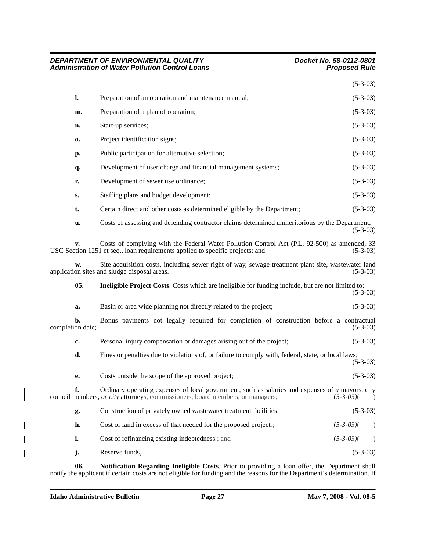|                |                                                                                                                                                                               | $(5-3-03)$ |
|----------------|-------------------------------------------------------------------------------------------------------------------------------------------------------------------------------|------------|
| l.             | Preparation of an operation and maintenance manual;                                                                                                                           | $(5-3-03)$ |
| m.             | Preparation of a plan of operation;                                                                                                                                           | $(5-3-03)$ |
| n.             | Start-up services;                                                                                                                                                            | $(5-3-03)$ |
| $\mathbf{0}$   | Project identification signs;                                                                                                                                                 | $(5-3-03)$ |
| р.             | Public participation for alternative selection;                                                                                                                               | $(5-3-03)$ |
| q.             | Development of user charge and financial management systems;                                                                                                                  | $(5-3-03)$ |
| r.             | Development of sewer use ordinance;                                                                                                                                           | $(5-3-03)$ |
| s.             | Staffing plans and budget development;                                                                                                                                        | $(5-3-03)$ |
| t.             | Certain direct and other costs as determined eligible by the Department;                                                                                                      | $(5-3-03)$ |
| u.             | Costs of assessing and defending contractor claims determined unmeritorious by the Department;                                                                                | $(5-3-03)$ |
| $\mathbf{v}$ . | Costs of complying with the Federal Water Pollution Control Act (P.L. 92-500) as amended, 33<br>USC Section 1251 et seq., loan requirements applied to specific projects; and | $(5-3-03)$ |
| w.             | Site acquisition costs, including sewer right of way, sewage treatment plant site, was tewater land<br>application sites and sludge disposal areas.                           | $(5-3-03)$ |
| 05.            | <b>Ineligible Project Costs.</b> Costs which are ineligible for funding include, but are not limited to:                                                                      |            |

*DEPARTMENT OF ENVIRONMENTAL QUALITY* DEPARTMENT DEPARTMENT DE ENVIRONMENTAL QUALITY DOCKET DOCKET No. 58-0112-0801<br>Proposed Rule Pollution Control Loans

**Administration of Water Pollution Control Loans** 

|                                                                  | $(5-3-03)$ |
|------------------------------------------------------------------|------------|
| Basin or area wide planning not directly related to the project; | $(5-3-03)$ |

**b.** Bonus payments not legally required for completion of construction before a contractual (5-3-03) (5-3-03) completion date;

| c. | Personal injury compensation or damages arising out of the project;                                      | $(5-3-03)$ |
|----|----------------------------------------------------------------------------------------------------------|------------|
| d. | Fines or penalties due to violations of, or failure to comply with, federal, state, or local laws;       | $(5-3-03)$ |
| e. | Costs outside the scope of the approved project;                                                         | $(5-3-03)$ |
|    | Ordinary operating expenses of local government, such as salaries and expenses of $\alpha$ -mayors, city |            |

|    | council members, <i>or city</i> -attorneys, commissioners, board members, or managers; | $(\overline{5-3-03})$            |
|----|----------------------------------------------------------------------------------------|----------------------------------|
| g. | Construction of privately owned wastewater treatment facilities;                       | $(5-3-03)$                       |
| h. | Cost of land in excess of that needed for the proposed project.                        | $(\frac{5 \cdot 3 \cdot 03}{0})$ |
|    | Cost of refinancing existing indebtedness.: and                                        | $(\overline{5-3-03})$            |

**j.** Reserve funds<u>.</u> (5-3-03)

**06. Notification Regarding Ineligible Costs**. Prior to providing a loan offer, the Department shall notify the applicant if certain costs are not eligible for funding and the reasons for the Department's determination. If

 $\overline{\phantom{a}}$ 

I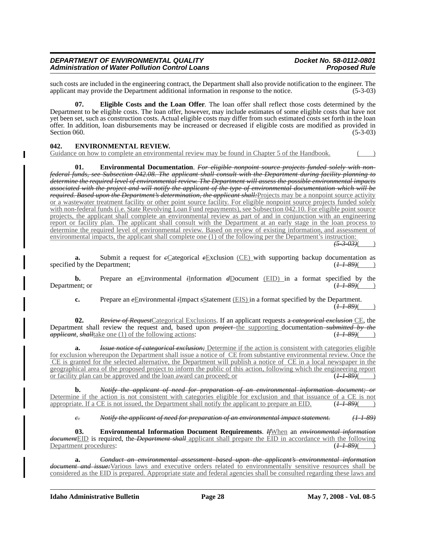such costs are included in the engineering contract, the Department shall also provide notification to the engineer. The applicant may provide the Department additional information in response to the notice. (5-3-03) applicant may provide the Department additional information in response to the notice.

**07. Eligible Costs and the Loan Offer**. The loan offer shall reflect those costs determined by the Department to be eligible costs. The loan offer, however, may include estimates of some eligible costs that have not yet been set, such as construction costs. Actual eligible costs may differ from such estimated costs set forth in the loan offer. In addition, loan disbursements may be increased or decreased if eligible costs are modified as provided in Section 060.  $(5-3-03)$ 

# **042. ENVIRONMENTAL REVIEW.**

Guidance on how to complete an environmental review may be found in Chapter 5 of the Handbook.

**01. Environmental Documentation**. *For eligible nonpoint source projects funded solely with nonfederal funds, see Subsection 042.08. The applicant shall consult with the Department during facility planning to determine the required level of environmental review. The Department will assess the possible environmental impacts associated with the project and will notify the applicant of the type of environmental documentation which will be required. Based upon the Department's determination, the applicant shall:*Projects may be a nonpoint source activity or a wastewater treatment facility or other point source facility. For eligible nonpoint source projects funded solely with non-federal funds (i.e. State Revolving Loan Fund repayments), see Subsection 042.10. For eligible point source projects, the applicant shall complete an environmental review as part of and in conjunction with an engineering report or facility plan. The applicant shall consult with the Department at an early stage in the loan process to determine the required level of environmental review. Based on review of existing information, and assessment of environmental impacts, the applicant shall complete one (1) of the following per the Department's instruction:

 $(5 - 3 - 03)$ 

**a.** Submit a request for *c*Categorical *e*Exclusion (CE) with supporting backup documentation as specified by the Department;  $(\frac{1}{2} \cdot \frac{1-89}{1-89})$ 

**b.** Prepare an *e*Environmental *i*Information *d*Document (EID) in a format specified by the ent; or  $\frac{1}{2}$ Department; or

**c.** Prepare an *e*Environmental *i*Impact *s*Statement (EIS) in a format specified by the Department.  $(+1 - 89)$ 

**02.** *Review of Request*Categorical Exclusions. If an applicant requests a *categorical exclusion* CE, the Department shall review the request and, based upon *project* the supporting documentation-submitted by the applicant, shall take one (1) of the following actions: ( $\overline{t}$ -89)( $\overline{t}$ ) *applicant*, *shall*take one (1) of the following actions:

*Issue notice of categorical exclusion;* Determine if the action is consistent with categories eligible for exclusion whereupon the Department shall issue a notice of CE from substantive environmental review. Once the CE is granted for the selected alternative, the Department will publish a notice of CE in a local newspaper in the geographical area of the proposed project to inform the public of this action, following which the engineering report or facility plan can be approved and the loan award can proceed; or  $(1-1-89)$ 

**b.** *Notify the applicant of need for preparation of an environmental information document; or* Determine if the action is not consistent with categories eligible for exclusion and that issuance of a CE is not appropriate. If a CE is not issued, the Department shall notify the applicant to prepare an EID.  $(11-89)$ 

*c. Notify the applicant of need for preparation of an environmental impact statement. (1-1-89)*

**03. Environmental Information Document Requirements**. *If*When an *environmental information document*EID is required, the *Department shall* applicant shall prepare the EID in accordance with the following Department procedures:

**a.** *Conduct an environmental assessment based upon the applicant's environmental information document and issue:*Various laws and executive orders related to environmentally sensitive resources shall be considered as the EID is prepared. Appropriate state and federal agencies shall be consulted regarding these laws and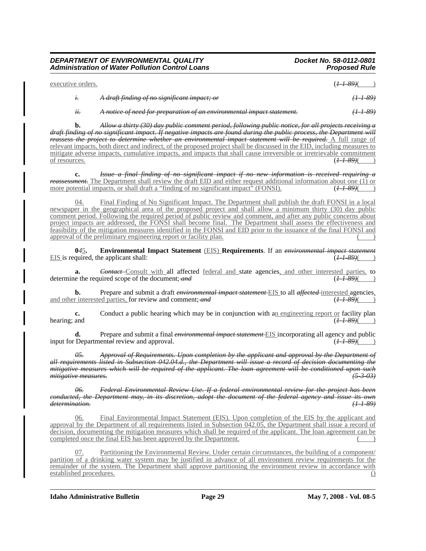| executive orders. |                                                                        | ( <del>1-1-89)</del> (______) |
|-------------------|------------------------------------------------------------------------|-------------------------------|
|                   | A draft finding of no significant impact; or                           | <del>(1-1-89)</del>           |
| H                 | A notice of need for preparation of an environmental impact statement. |                               |

**b.** *Allow a thirty (30) day public comment period, following public notice, for all projects receiving a draft finding of no significant impact. If negative impacts are found during the public process, the Department will reassess the project to determine whether an environmental impact statement will be required.* A full range of relevant impacts, both direct and indirect, of the proposed project shall be discussed in the EID, including measures to mitigate adverse impacts, cumulative impacts, and impacts that shall cause irreversible or irretrievable commitment of resources.  $(H-39)($ of resources. (*1-1-89)*( )

**c.** *Issue a final finding of no significant impact if no new information is received requiring a reassessment.* The Department shall review the draft EID and either request additional information about one (1) or more potential impacts, or shall draft a "finding of no significant impact" (FONSI).  $(H-39)($ more potential impacts, or shall draft a "finding of no significant impact" (FONSI).

04. Final Finding of No Significant Impact. The Department shall publish the draft FONSI in a local newspaper in the geographical area of the proposed project and shall allow a minimum thirty (30) day public comment period. Following the required period of public review and comment, and after any public concerns about project impacts are addressed, the FONSI shall become final. The Department shall assess the effectiveness and feasibility of the mitigation measures identified in the FONSI and EID prior to the issuance of the final FONSI and approval of the preliminary engineering report or facility plan.

**0***4*5**. Environmental Impact Statement** (EIS) **Requirements**. If an *environmental impact statement* EIS is required, the applicant shall:

**a.** *Contact* Consult with all affected <u>federal and</u> state agencies, and other interested parties, to determine the required scope of the document; *and* (*1-1-89)*( )

**b.** Prepare and submit a draft *environmental impact statement* EIS to all *affected* interested agencies, and other interested parties, for review and comment; *and*  $(1+89)$  ( $(1+89)$ )

**c.** Conduct a public hearing which may be in conjunction with an engineering report or facility plan and hearing; and

**d.** Prepare and submit a final *environmental impact statement* EIS incorporating all agency and public Departmental review and approval. ( $\overline{1}$  –  $\overline{39}$ ) ( $\overline{1}$  –  $\overline{39}$ ) input for Departmental review and approval.

*05. Approval of Requirements. Upon completion by the applicant and approval by the Department of all requirements listed in Subsection 042.04.d., the Department will issue a record of decision documenting the mitigative measures which will be required of the applicant. The loan agreement will be conditioned upon such mitigative measures. (5-3-03)*

*06. Federal Environmental Review Use. If a federal environmental review for the project has been conducted, the Department may, in its discretion, adopt the document of the federal agency and issue its own determination. (1-1-89)*

06. Final Environmental Impact Statement (EIS). Upon completion of the EIS by the applicant and approval by the Department of all requirements listed in Subsection 042.05, the Department shall issue a record of decision, documenting the mitigation measures which shall be required of the applicant. The loan agreement can be completed once the final EIS has been approved by the Department.

Partitioning the Environmental Review. Under certain circumstances, the building of a component/ partition of a drinking water system may be justified in advance of all environment review requirements for the remainder of the system. The Department shall approve partitioning the environment review in accordance with established procedures. ()

**Idaho Administrative Bulletin Page 29 May 7, 2008 - Vol. 08-5**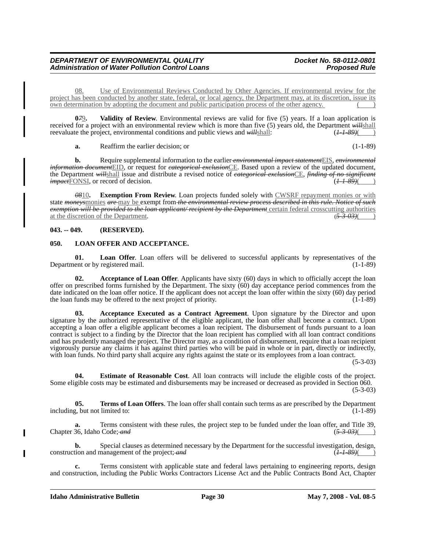08. Use of Environmental Reviews Conducted by Other Agencies. If environmental review for the project has been conducted by another state, federal, or local agency, the Department may, at its discretion, issue its own determination by adopting the document and public participation process of the other agency.

**0***7*9**. Validity of Review**. Environmental reviews are valid for five (5) years. If a loan application is received for a project with an environmental review which is more than five (5) years old, the Department *will*shall reevaluate the project, environmental conditions and public views and *will*shall: (*1-1-89)*( )

**a.** Reaffirm the earlier decision; or (1-1-89)

**b.** Require supplemental information to the earlier *environmental impact statement*EIS, *environmental information document*EID, or request for *categorical exclusion*CE. Based upon a review of the updated document, the Department *will*shall issue and distribute a revised notice of *categorical exclusion*CE, *finding of no significant impact*FONSI, or record of decision. (*1-1-89)*( )

*08*10**. Exemption From Review**. Loan projects funded solely with CWSRF repayment monies or with state *moneys*monies *are* may be exempt from *the environmental review process described in this rule. Notice of such exemption will be provided to the loan applicant/ recipient by the Department* certain federal crosscutting authorities at the discretion of the Department. at the discretion of the Department. (*5-3-03)*( )

# **043. -- 049. (RESERVED).**

# **050. LOAN OFFER AND ACCEPTANCE.**

**01. Loan Offer**. Loan offers will be delivered to successful applicants by representatives of the Department or by registered mail. (1-1-89)

**02. Acceptance of Loan Offer**. Applicants have sixty (60) days in which to officially accept the loan offer on prescribed forms furnished by the Department. The sixty (60) day acceptance period commences from the date indicated on the loan offer notice. If the applicant does not accept the loan offer within the sixty (60) day period the loan funds may be offered to the next project of priority.  $(1-1-89)$ 

**03. Acceptance Executed as a Contract Agreement**. Upon signature by the Director and upon signature by the authorized representative of the eligible applicant, the loan offer shall become a contract. Upon accepting a loan offer a eligible applicant becomes a loan recipient. The disbursement of funds pursuant to a loan contract is subject to a finding by the Director that the loan recipient has complied with all loan contract conditions and has prudently managed the project. The Director may, as a condition of disbursement, require that a loan recipient vigorously pursue any claims it has against third parties who will be paid in whole or in part, directly or indirectly, with loan funds. No third party shall acquire any rights against the state or its employees from a loan contract.

(5-3-03)

**04. Estimate of Reasonable Cost**. All loan contracts will include the eligible costs of the project. Some eligible costs may be estimated and disbursements may be increased or decreased as provided in Section 060. (5-3-03)

**05. Terms of Loan Offers**. The loan offer shall contain such terms as are prescribed by the Department including, but not limited to: (1-1-89)

**a.** Terms consistent with these rules, the project step to be funded under the loan offer, and Title 39, Chapter 36, Idaho Code; *and* (*5-3-03)*( )

**b.** Special clauses as determined necessary by the Department for the successful investigation, design, tion and management of the project:  $\frac{dH - 89}{dH}$  ( $\frac{H - 89}{dH}$ ) construction and management of the project; and

**c.** Terms consistent with applicable state and federal laws pertaining to engineering reports, design and construction, including the Public Works Contractors License Act and the Public Contracts Bond Act, Chapter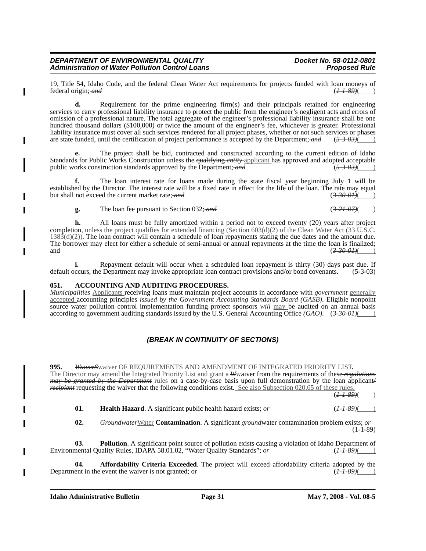T

19, Title 54, Idaho Code, and the federal Clean Water Act requirements for projects funded with loan moneys of federal origin:  $\frac{dH}{d}$ federal origin; and

**d.** Requirement for the prime engineering firm(s) and their principals retained for engineering services to carry professional liability insurance to protect the public from the engineer's negligent acts and errors of omission of a professional nature. The total aggregate of the engineer's professional liability insurance shall be one hundred thousand dollars (\$100,000) or twice the amount of the engineer's fee, whichever is greater. Professional liability insurance must cover all such services rendered for all project phases, whether or not such services or phases are state funded, until the certification of project performance is accepted by the Department; *and* (*5-3-03)*( )

**e.** The project shall be bid, contracted and constructed according to the current edition of Idaho Standards for Public Works Construction unless the <del>qualifying *entity*</del> applicant has approved and adopted acceptable public works construction standards approved by the Department: *and* (5–3–03)( public works construction standards approved by the Department; and

**f.** The loan interest rate for loans made during the state fiscal year beginning July 1 will be established by the Director. The interest rate will be a fixed rate in effect for the life of the loan. The rate may equal but shall not exceed the current market rate; and  $\left(3-30-0.04\right)$ but shall not exceed the current market rate; and

**g.** The loan fee pursuant to Section 032; *and* (*3-21-07)*( )

**h.** All loans must be fully amortized within a period not to exceed twenty (20) years after project completion, unless the project qualifies for extended financing (Section 603(d)(2) of the Clean Water Act (33 U.S.C.  $1383(d)(2)$ ). The loan contract will contain a schedule of loan repayments stating the due dates and the amount due. The borrower may elect for either a schedule of semi-annual or annual repayments at the time the loan is finalized; and (3-30-01)( )

**i.** Repayment default will occur when a scheduled loan repayment is thirty (30) days past due. If default occurs, the Department may invoke appropriate loan contract provisions and/or bond covenants. (5-3-03)

# **051. ACCOUNTING AND AUDITING PROCEDURES.**

*Municipalities* Applicants receiving loans must maintain project accounts in accordance with *government* generally accepted accounting principles *issued by the Government Accounting Standards Board (GASB)*. Eligible nonpoint source water pollution control implementation funding project sponsors will may be audited on an annual basis according to government auditing standards issued by the U.S. General Accounting Office *(GAO)*. (*3-30-01)*( )

# *(BREAK IN CONTINUITY OF SECTIONS)*

**995.** *WaiverS*waiver OF REQUIREMENTS AND AMENDMENT OF INTEGRATED PRIORITY LIST**.**  The Director may amend the Integrated Priority List and grant a *W*waiver from the requirements of these *regulations may be granted by the Department* rules on a case-by-case basis upon full demonstration by the loan applicant*/ recipient* requesting the waiver that the following conditions exist. See also Subsection 020.05 of these rules.  $(1 - 1 - 89)$ 

**01. Health Hazard**. A significant public health hazard exists;  $\sigma r$  (*1-1-89*)(

**02.** *Groundwater*Water **Contamination**. A significant *ground*water contamination problem exists; *or*  $(1-1-89)$ 

**03. Pollution**. A significant point source of pollution exists causing a violation of Idaho Department of Environmental Quality Rules, IDAPA 58.01.02, "Water Quality Standards"; or (*1-1-89*)( )

**04. Affordability Criteria Exceeded**. The project will exceed affordability criteria adopted by the Department in the event the waiver is not granted; or  $\left(\frac{I - 89}{\text{m}}\right)$